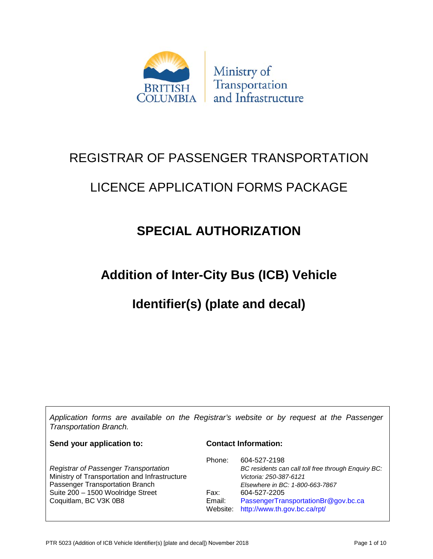

# REGISTRAR OF PASSENGER TRANSPORTATION

# LICENCE APPLICATION FORMS PACKAGE

# **SPECIAL AUTHORIZATION**

# **Addition of Inter-City Bus (ICB) Vehicle**

# **Identifier(s) (plate and decal)**

*Application forms are available on the Registrar's website or by request at the Passenger Transportation Branch.*

**Send your application to:**

#### **Contact Information:**

|                                               | Phone: | 604-527-2198                                        |
|-----------------------------------------------|--------|-----------------------------------------------------|
| <b>Registrar of Passenger Transportation</b>  |        | BC residents can call toll free through Enquiry BC: |
| Ministry of Transportation and Infrastructure |        | Victoria: 250-387-6121                              |
| Passenger Transportation Branch               |        | Elsewhere in BC: 1-800-663-7867                     |
| Suite 200 - 1500 Woolridge Street             | Fax:   | 604-527-2205                                        |
| Coquitlam, BC V3K 0B8                         | Email: | PassengerTransportationBr@gov.bc.ca                 |
|                                               |        | Website: http://www.th.gov.bc.ca/rpt/               |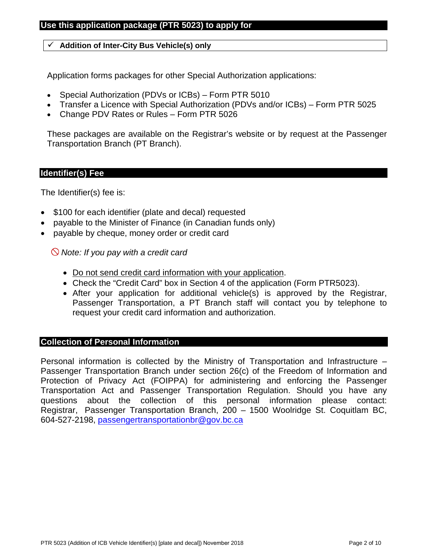## **Use this application package (PTR 5023) to apply for**

### **Addition of Inter-City Bus Vehicle(s) only**

Application forms packages for other Special Authorization applications:

- Special Authorization (PDVs or ICBs) Form PTR 5010
- Transfer a Licence with Special Authorization (PDVs and/or ICBs) Form PTR 5025
- Change PDV Rates or Rules Form PTR 5026

These packages are available on the Registrar's website or by request at the Passenger Transportation Branch (PT Branch).

### **Identifier(s) Fee**

The Identifier(s) fee is:

- \$100 for each identifier (plate and decal) requested
- payable to the Minister of Finance (in Canadian funds only)
- payable by cheque, money order or credit card

*Note: If you pay with a credit card*

- Do not send credit card information with your application.
- Check the "Credit Card" box in Section 4 of the application (Form PTR5023).
- After your application for additional vehicle(s) is approved by the Registrar, Passenger Transportation, a PT Branch staff will contact you by telephone to request your credit card information and authorization.

### **Collection of Personal Information**

Personal information is collected by the Ministry of Transportation and Infrastructure – Passenger Transportation Branch under section 26(c) of the Freedom of Information and Protection of Privacy Act (FOIPPA) for administering and enforcing the Passenger Transportation Act and Passenger Transportation Regulation. Should you have any questions about the collection of this personal information please contact: Registrar, Passenger Transportation Branch, 200 – 1500 Woolridge St. Coquitlam BC, [604-527-2198, passengertransportation](mailto:passengertransportationbr@gov.bc.ca)br@gov.bc.ca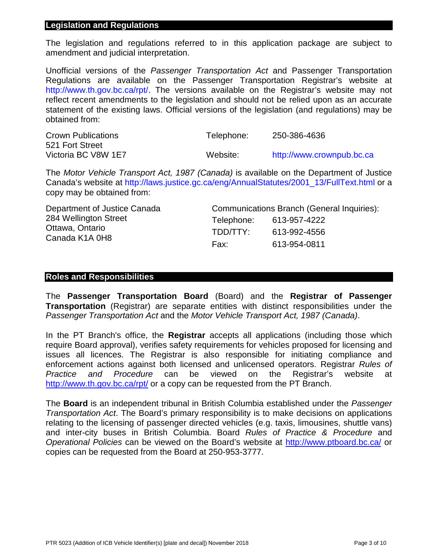#### **Legislation and Regulations**

The legislation and regulations referred to in this application package are subject to amendment and judicial interpretation.

Unofficial versions of the *Passenger Transportation Act* and Passenger Transportation Regulations are available on the Passenger Transportation Registrar's website at [http://www.th.gov.bc.ca/rpt/.](http://www.th.gov.bc.ca/rpt/) The versions available on the Registrar's website may not reflect recent amendments to the legislation and should not be relied upon as an accurate statement of the existing laws. Official versions of the legislation (and regulations) may be obtained from:

| <b>Crown Publications</b> | Telephone: | 250-386-4636              |
|---------------------------|------------|---------------------------|
| 521 Fort Street           |            |                           |
| Victoria BC V8W 1E7       | Website:   | http://www.crownpub.bc.ca |

The *Motor Vehicle Transport Act, 1987 (Canada)* is available on the Department of Justice Canada's website at [http://laws.justice.gc.ca/eng/AnnualStatutes/2001\\_13/FullText.html](http://laws.justice.gc.ca/eng/AnnualStatutes/2001_13/FullText.html) or a copy may be obtained from:

| Department of Justice Canada      | Communications Branch (General Inquiries): |              |  |
|-----------------------------------|--------------------------------------------|--------------|--|
| 284 Wellington Street             | Telephone:                                 | 613-957-4222 |  |
| Ottawa, Ontario<br>Canada K1A 0H8 | TDD/TTY:                                   | 613-992-4556 |  |
|                                   | Fax:                                       | 613-954-0811 |  |

### **Roles and Responsibilities**

The **Passenger Transportation Board** (Board) and the **Registrar of Passenger Transportation** (Registrar) are separate entities with distinct responsibilities under the *Passenger Transportation Act* and the *Motor Vehicle Transport Act, 1987 (Canada)*.

In the PT Branch's office, the **Registrar** accepts all applications (including those which require Board approval), verifies safety requirements for vehicles proposed for licensing and issues all licences. The Registrar is also responsible for initiating compliance and enforcement actions against both licensed and unlicensed operators. Registrar *Rules of Practice and Procedure* can be viewed on the Registrar's website at <http://www.th.gov.bc.ca/rpt/> or a copy can be requested from the PT Branch.

The **Board** is an independent tribunal in British Columbia established under the *Passenger Transportation Act*. The Board's primary responsibility is to make decisions on applications relating to the licensing of passenger directed vehicles (e.g. taxis, limousines, shuttle vans) and inter-city buses in British Columbia. Board *Rules of Practice & Procedure* and *Operational Policies* can be viewed on the Board's website at<http://www.ptboard.bc.ca/> or copies can be requested from the Board at 250-953-3777.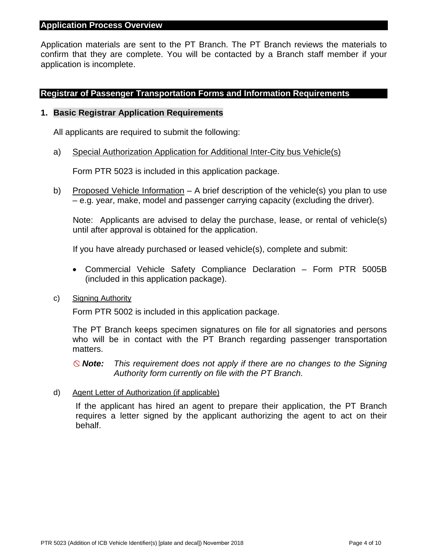#### **Application Process Overview**

Application materials are sent to the PT Branch. The PT Branch reviews the materials to confirm that they are complete. You will be contacted by a Branch staff member if your application is incomplete.

### **Registrar of Passenger Transportation Forms and Information Requirements**

#### **1. Basic Registrar Application Requirements**

All applicants are required to submit the following:

a) Special Authorization Application for Additional Inter-City bus Vehicle(s)

Form PTR 5023 is included in this application package.

b) Proposed Vehicle Information – A brief description of the vehicle(s) you plan to use – e.g. year, make, model and passenger carrying capacity (excluding the driver).

Note: Applicants are advised to delay the purchase, lease, or rental of vehicle(s) until after approval is obtained for the application.

If you have already purchased or leased vehicle(s), complete and submit:

• Commercial Vehicle Safety Compliance Declaration – Form PTR 5005B (included in this application package).

#### c) Signing Authority

Form PTR 5002 is included in this application package.

The PT Branch keeps specimen signatures on file for all signatories and persons who will be in contact with the PT Branch regarding passenger transportation matters.

*Note: This requirement does not apply if there are no changes to the Signing Authority form currently on file with the PT Branch.*

d) Agent Letter of Authorization (if applicable)

If the applicant has hired an agent to prepare their application, the PT Branch requires a letter signed by the applicant authorizing the agent to act on their behalf.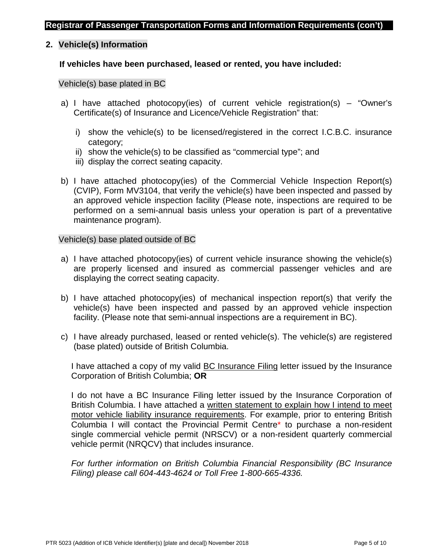### **2. Vehicle(s) Information**

#### **If vehicles have been purchased, leased or rented, you have included:**

#### Vehicle(s) base plated in BC

- a) I have attached photocopy(ies) of current vehicle registration(s) "Owner's Certificate(s) of Insurance and Licence/Vehicle Registration" that:
	- i) show the vehicle(s) to be licensed/registered in the correct I.C.B.C. insurance category;
	- ii) show the vehicle(s) to be classified as "commercial type"; and
	- iii) display the correct seating capacity.
- b) I have attached photocopy(ies) of the Commercial Vehicle Inspection Report(s) (CVIP), Form MV3104, that verify the vehicle(s) have been inspected and passed by an approved vehicle inspection facility (Please note, inspections are required to be performed on a semi-annual basis unless your operation is part of a preventative maintenance program).

#### Vehicle(s) base plated outside of BC

- a) I have attached photocopy(ies) of current vehicle insurance showing the vehicle(s) are properly licensed and insured as commercial passenger vehicles and are displaying the correct seating capacity.
- b) I have attached photocopy(ies) of mechanical inspection report(s) that verify the vehicle(s) have been inspected and passed by an approved vehicle inspection facility. (Please note that semi-annual inspections are a requirement in BC).
- c) I have already purchased, leased or rented vehicle(s). The vehicle(s) are registered (base plated) outside of British Columbia.

I have attached a copy of my valid **BC Insurance Filing letter issued by the Insurance** Corporation of British Columbia; **OR**

I do not have a BC Insurance Filing letter issued by the Insurance Corporation of British Columbia. I have attached a written statement to explain how I intend to meet motor vehicle liability insurance requirements. For example, prior to entering British Columbia I will contact the Provincial Permit Centre\* to purchase a non-resident single commercial vehicle permit (NRSCV) or a non-resident quarterly commercial vehicle permit (NRQCV) that includes insurance.

*For further information on British Columbia Financial Responsibility (BC Insurance Filing) please call 604-443-4624 or Toll Free 1-800-665-4336.*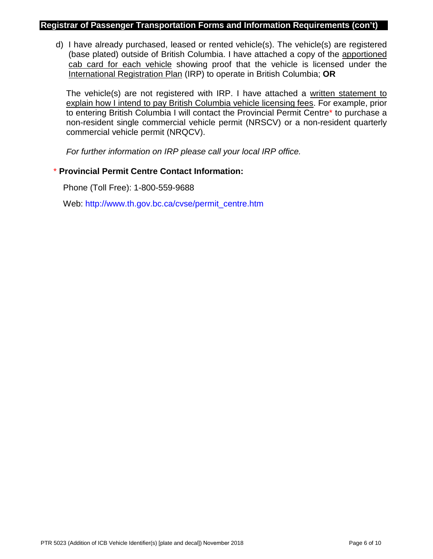#### **Registrar of Passenger Transportation Forms and Information Requirements (con't)**

d) I have already purchased, leased or rented vehicle(s). The vehicle(s) are registered (base plated) outside of British Columbia. I have attached a copy of the apportioned cab card for each vehicle showing proof that the vehicle is licensed under the International Registration Plan (IRP) to operate in British Columbia; **OR**

The vehicle(s) are not registered with IRP. I have attached a written statement to explain how I intend to pay British Columbia vehicle licensing fees. For example, prior to entering British Columbia I will contact the Provincial Permit Centre\* to purchase a non-resident single commercial vehicle permit (NRSCV) or a non-resident quarterly commercial vehicle permit (NRQCV).

*For further information on IRP please call your local IRP office.*

## \* **Provincial Permit Centre Contact Information:**

Phone (Toll Free): 1-800-559-9688

Web: [http://www.th.gov.bc.ca/cvse/permit\\_centre.htm](http://www.th.gov.bc.ca/cvse/permit_centre.htm)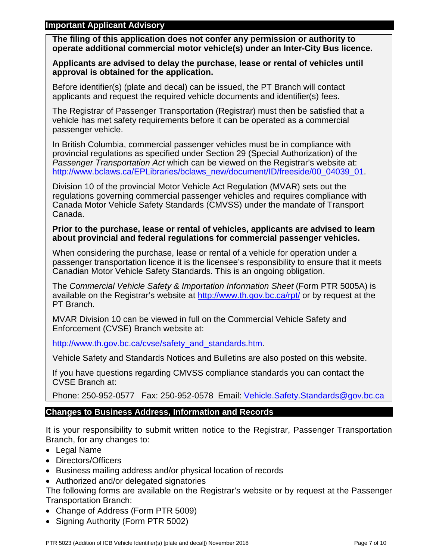### **Important Applicant Advisory**

**The filing of this application does not confer any permission or authority to operate additional commercial motor vehicle(s) under an Inter-City Bus licence.** 

**Applicants are advised to delay the purchase, lease or rental of vehicles until approval is obtained for the application.**

Before identifier(s) (plate and decal) can be issued, the PT Branch will contact applicants and request the required vehicle documents and identifier(s) fees.

The Registrar of Passenger Transportation (Registrar) must then be satisfied that a vehicle has met safety requirements before it can be operated as a commercial passenger vehicle.

In British Columbia, commercial passenger vehicles must be in compliance with provincial regulations as specified under Section 29 (Special Authorization) of the *Passenger Transportation Act* which can be viewed on the Registrar's website at: [http://www.bclaws.ca/EPLibraries/bclaws\\_new/document/ID/freeside/00\\_04039\\_01.](http://www.bclaws.ca/EPLibraries/bclaws_new/document/ID/freeside/00_04039_01)

Division 10 of the provincial Motor Vehicle Act Regulation (MVAR) sets out the regulations governing commercial passenger vehicles and requires compliance with Canada Motor Vehicle Safety Standards (CMVSS) under the mandate of Transport Canada.

### **Prior to the purchase, lease or rental of vehicles, applicants are advised to learn about provincial and federal regulations for commercial passenger vehicles.**

When considering the purchase, lease or rental of a vehicle for operation under a passenger transportation licence it is the licensee's responsibility to ensure that it meets Canadian Motor Vehicle Safety Standards. This is an ongoing obligation.

The *Commercial Vehicle Safety & Importation Information Sheet* (Form PTR 5005A) is available on the Registrar's website at<http://www.th.gov.bc.ca/rpt/> or by request at the PT Branch.

MVAR Division 10 can be viewed in full on the Commercial Vehicle Safety and Enforcement (CVSE) Branch website at:

[http://www.th.gov.bc.ca/cvse/safety\\_and\\_standards.htm.](http://www.th.gov.bc.ca/cvse/safety_and_standards.htm)

Vehicle Safety and Standards Notices and Bulletins are also posted on this website.

If you have questions regarding CMVSS compliance standards you can contact the CVSE Branch at:

Phone: 250-952-0577 Fax: 250-952-0578 Email: [Vehicle.Safety.Standards@gov.bc.ca](mailto:Vehicle.Safety.Standards@gov.bc.ca)

## **Changes to Business Address, Information and Records**

It is your responsibility to submit written notice to the Registrar, Passenger Transportation Branch, for any changes to:

- Legal Name
- Directors/Officers
- Business mailing address and/or physical location of records
- Authorized and/or delegated signatories

The following forms are available on the Registrar's website or by request at the Passenger Transportation Branch:

- Change of Address (Form PTR 5009)
- Signing Authority (Form PTR 5002)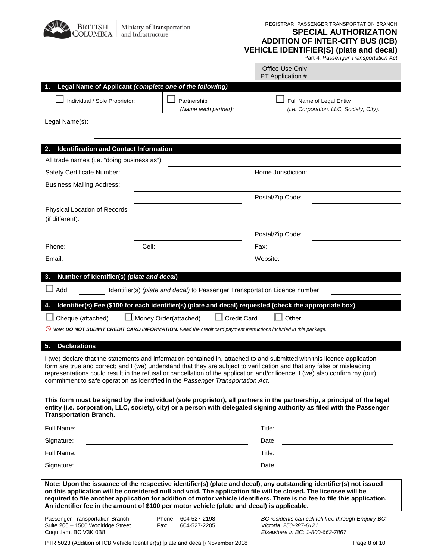| <b>BRITISH</b><br>OLUMBIA                                                                          | Ministry of Transportation<br>and Infrastructure                                                                                           | REGISTRAR, PASSENGER TRANSPORTATION BRANCH<br><b>SPECIAL AUTHORIZATION</b><br><b>ADDITION OF INTER-CITY BUS (ICB)</b><br><b>VEHICLE IDENTIFIER(S) (plate and decal)</b><br>Part 4, Passenger Transportation Act                                                                                                                                                                                                                                      |
|----------------------------------------------------------------------------------------------------|--------------------------------------------------------------------------------------------------------------------------------------------|------------------------------------------------------------------------------------------------------------------------------------------------------------------------------------------------------------------------------------------------------------------------------------------------------------------------------------------------------------------------------------------------------------------------------------------------------|
|                                                                                                    |                                                                                                                                            | Office Use Only<br>PT Application #                                                                                                                                                                                                                                                                                                                                                                                                                  |
|                                                                                                    | Legal Name of Applicant (complete one of the following)                                                                                    |                                                                                                                                                                                                                                                                                                                                                                                                                                                      |
| Individual / Sole Proprietor:                                                                      | Partnership<br>(Name each partner):                                                                                                        | Full Name of Legal Entity<br>(i.e. Corporation, LLC, Society, City):                                                                                                                                                                                                                                                                                                                                                                                 |
| Legal Name(s):                                                                                     |                                                                                                                                            |                                                                                                                                                                                                                                                                                                                                                                                                                                                      |
|                                                                                                    |                                                                                                                                            |                                                                                                                                                                                                                                                                                                                                                                                                                                                      |
|                                                                                                    |                                                                                                                                            |                                                                                                                                                                                                                                                                                                                                                                                                                                                      |
| <b>Identification and Contact Information</b><br>2.<br>All trade names (i.e. "doing business as"): |                                                                                                                                            |                                                                                                                                                                                                                                                                                                                                                                                                                                                      |
| Safety Certificate Number:                                                                         |                                                                                                                                            | Home Jurisdiction:                                                                                                                                                                                                                                                                                                                                                                                                                                   |
|                                                                                                    |                                                                                                                                            |                                                                                                                                                                                                                                                                                                                                                                                                                                                      |
| <b>Business Mailing Address:</b>                                                                   |                                                                                                                                            |                                                                                                                                                                                                                                                                                                                                                                                                                                                      |
|                                                                                                    |                                                                                                                                            | Postal/Zip Code:                                                                                                                                                                                                                                                                                                                                                                                                                                     |
| Physical Location of Records<br>(if different):                                                    |                                                                                                                                            |                                                                                                                                                                                                                                                                                                                                                                                                                                                      |
|                                                                                                    |                                                                                                                                            |                                                                                                                                                                                                                                                                                                                                                                                                                                                      |
|                                                                                                    |                                                                                                                                            | Postal/Zip Code:                                                                                                                                                                                                                                                                                                                                                                                                                                     |
| Phone:                                                                                             | Cell:                                                                                                                                      | Fax:                                                                                                                                                                                                                                                                                                                                                                                                                                                 |
| Email:                                                                                             |                                                                                                                                            | Website:                                                                                                                                                                                                                                                                                                                                                                                                                                             |
| Number of Identifier(s) (plate and decal)                                                          |                                                                                                                                            |                                                                                                                                                                                                                                                                                                                                                                                                                                                      |
| Add                                                                                                | Identifier(s) (plate and decal) to Passenger Transportation Licence number                                                                 |                                                                                                                                                                                                                                                                                                                                                                                                                                                      |
|                                                                                                    |                                                                                                                                            |                                                                                                                                                                                                                                                                                                                                                                                                                                                      |
|                                                                                                    |                                                                                                                                            | Identifier(s) Fee (\$100 for each identifier(s) (plate and decal) requested (check the appropriate box)                                                                                                                                                                                                                                                                                                                                              |
| Cheque (attached)                                                                                  | Money Order(attached)                                                                                                                      | Other<br><b>Credit Card</b>                                                                                                                                                                                                                                                                                                                                                                                                                          |
|                                                                                                    | $\odot$ Note: DO NOT SUBMIT CREDIT CARD INFORMATION. Read the credit card payment instructions included in this package.                   |                                                                                                                                                                                                                                                                                                                                                                                                                                                      |
| <b>Declarations</b><br>5.                                                                          |                                                                                                                                            |                                                                                                                                                                                                                                                                                                                                                                                                                                                      |
|                                                                                                    |                                                                                                                                            | I (we) declare that the statements and information contained in, attached to and submitted with this licence application                                                                                                                                                                                                                                                                                                                             |
|                                                                                                    | commitment to safe operation as identified in the Passenger Transportation Act.                                                            | form are true and correct; and I (we) understand that they are subject to verification and that any false or misleading<br>representations could result in the refusal or cancellation of the application and/or licence. I (we) also confirm my (our)                                                                                                                                                                                               |
| <b>Transportation Branch.</b>                                                                      |                                                                                                                                            | This form must be signed by the individual (sole proprietor), all partners in the partnership, a principal of the legal<br>entity (i.e. corporation, LLC, society, city) or a person with delegated signing authority as filed with the Passenger                                                                                                                                                                                                    |
| Full Name:                                                                                         |                                                                                                                                            | Title:                                                                                                                                                                                                                                                                                                                                                                                                                                               |
| Signature:                                                                                         |                                                                                                                                            | Date:                                                                                                                                                                                                                                                                                                                                                                                                                                                |
| Full Name:                                                                                         |                                                                                                                                            | Title:                                                                                                                                                                                                                                                                                                                                                                                                                                               |
| Signature:                                                                                         |                                                                                                                                            | Date:                                                                                                                                                                                                                                                                                                                                                                                                                                                |
| Passenger Transportation Branch<br>Suite 200 - 1500 Woolridge Street                               | An identifier fee in the amount of \$100 per motor vehicle (plate and decal) is applicable.<br>Phone: 604-527-2198<br>Fax:<br>604-527-2205 | Note: Upon the issuance of the respective identifier(s) (plate and decal), any outstanding identifier(s) not issued<br>on this application will be considered null and void. The application file will be closed. The licensee will be<br>required to file another application for addition of motor vehicle identifiers. There is no fee to file this application.<br>BC residents can call toll free through Enquiry BC:<br>Victoria: 250-387-6121 |
| Coquitlam, BC V3K 0B8                                                                              |                                                                                                                                            | Elsewhere in BC: 1-800-663-7867                                                                                                                                                                                                                                                                                                                                                                                                                      |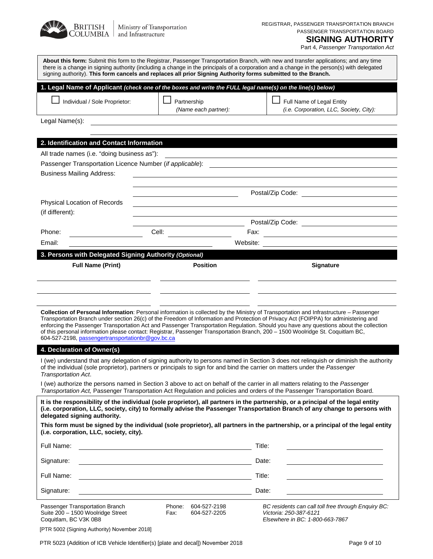

Part 4, *Passenger Transportation Act*

|                                                                                                                                                           | signing authority). This form cancels and replaces all prior Signing Authority forms submitted to the Branch.         | About this form: Submit this form to the Registrar, Passenger Transportation Branch, with new and transfer applications; and any time<br>there is a change in signing authority (including a change in the principals of a corporation and a change in the person(s) with delegated                                                                                                                                                                                                                                                                         |
|-----------------------------------------------------------------------------------------------------------------------------------------------------------|-----------------------------------------------------------------------------------------------------------------------|-------------------------------------------------------------------------------------------------------------------------------------------------------------------------------------------------------------------------------------------------------------------------------------------------------------------------------------------------------------------------------------------------------------------------------------------------------------------------------------------------------------------------------------------------------------|
| 1. Legal Name of Applicant (check one of the boxes and write the FULL legal name(s) on the line(s) below)                                                 |                                                                                                                       |                                                                                                                                                                                                                                                                                                                                                                                                                                                                                                                                                             |
| Individual / Sole Proprietor:                                                                                                                             | Partnership<br>(Name each partner):                                                                                   | Full Name of Legal Entity<br>(i.e. Corporation, LLC, Society, City):                                                                                                                                                                                                                                                                                                                                                                                                                                                                                        |
| Legal Name(s):                                                                                                                                            |                                                                                                                       |                                                                                                                                                                                                                                                                                                                                                                                                                                                                                                                                                             |
|                                                                                                                                                           |                                                                                                                       |                                                                                                                                                                                                                                                                                                                                                                                                                                                                                                                                                             |
| 2. Identification and Contact Information                                                                                                                 |                                                                                                                       |                                                                                                                                                                                                                                                                                                                                                                                                                                                                                                                                                             |
| All trade names (i.e. "doing business as"):                                                                                                               |                                                                                                                       |                                                                                                                                                                                                                                                                                                                                                                                                                                                                                                                                                             |
| <b>Business Mailing Address:</b>                                                                                                                          | <u> 1989 - Johann Barbara, martin amerikan basar dan basa dan basa dan basa dan basa dan basa dan basa dan basa d</u> |                                                                                                                                                                                                                                                                                                                                                                                                                                                                                                                                                             |
|                                                                                                                                                           |                                                                                                                       |                                                                                                                                                                                                                                                                                                                                                                                                                                                                                                                                                             |
| Physical Location of Records                                                                                                                              |                                                                                                                       |                                                                                                                                                                                                                                                                                                                                                                                                                                                                                                                                                             |
| (if different):                                                                                                                                           |                                                                                                                       |                                                                                                                                                                                                                                                                                                                                                                                                                                                                                                                                                             |
|                                                                                                                                                           |                                                                                                                       |                                                                                                                                                                                                                                                                                                                                                                                                                                                                                                                                                             |
| Phone:                                                                                                                                                    |                                                                                                                       |                                                                                                                                                                                                                                                                                                                                                                                                                                                                                                                                                             |
| Email:                                                                                                                                                    | Website:                                                                                                              |                                                                                                                                                                                                                                                                                                                                                                                                                                                                                                                                                             |
| 3. Persons with Delegated Signing Authority (Optional)<br><b>Full Name (Print)</b>                                                                        | <b>Position</b>                                                                                                       | Signature                                                                                                                                                                                                                                                                                                                                                                                                                                                                                                                                                   |
|                                                                                                                                                           |                                                                                                                       |                                                                                                                                                                                                                                                                                                                                                                                                                                                                                                                                                             |
|                                                                                                                                                           |                                                                                                                       |                                                                                                                                                                                                                                                                                                                                                                                                                                                                                                                                                             |
|                                                                                                                                                           |                                                                                                                       |                                                                                                                                                                                                                                                                                                                                                                                                                                                                                                                                                             |
| 604-527-2198, passengertransportationbr@gov.bc.ca                                                                                                         |                                                                                                                       | Collection of Personal Information: Personal information is collected by the Ministry of Transportation and Infrastructure – Passenger<br>Transportation Branch under section 26(c) of the Freedom of Information and Protection of Privacy Act (FOIPPA) for administering and<br>enforcing the Passenger Transportation Act and Passenger Transportation Regulation. Should you have any questions about the collection<br>of this personal information please contact: Registrar, Passenger Transportation Branch, 200 - 1500 Woolridge St. Coquitlam BC, |
| 4. Declaration of Owner(s)                                                                                                                                |                                                                                                                       |                                                                                                                                                                                                                                                                                                                                                                                                                                                                                                                                                             |
| of the individual (sole proprietor), partners or principals to sign for and bind the carrier on matters under the Passenger<br><b>Transportation Act.</b> |                                                                                                                       | I (we) understand that any delegation of signing authority to persons named in Section 3 does not relinquish or diminish the authority                                                                                                                                                                                                                                                                                                                                                                                                                      |
|                                                                                                                                                           |                                                                                                                       | I (we) authorize the persons named in Section 3 above to act on behalf of the carrier in all matters relating to the Passenger<br>Transportation Act, Passenger Transportation Act Regulation and policies and orders of the Passenger Transportation Board.                                                                                                                                                                                                                                                                                                |
| delegated signing authority.                                                                                                                              |                                                                                                                       | It is the responsibility of the individual (sole proprietor), all partners in the partnership, or a principal of the legal entity<br>(i.e. corporation, LLC, society, city) to formally advise the Passenger Transportation Branch of any change to persons with                                                                                                                                                                                                                                                                                            |
| (i.e. corporation, LLC, society, city).                                                                                                                   |                                                                                                                       | This form must be signed by the individual (sole proprietor), all partners in the partnership, or a principal of the legal entity                                                                                                                                                                                                                                                                                                                                                                                                                           |
| Full Name:                                                                                                                                                |                                                                                                                       | Title:                                                                                                                                                                                                                                                                                                                                                                                                                                                                                                                                                      |
| Signature:                                                                                                                                                |                                                                                                                       | Date:                                                                                                                                                                                                                                                                                                                                                                                                                                                                                                                                                       |
| Full Name:                                                                                                                                                |                                                                                                                       | Title:                                                                                                                                                                                                                                                                                                                                                                                                                                                                                                                                                      |
| Signature:                                                                                                                                                |                                                                                                                       | Date:                                                                                                                                                                                                                                                                                                                                                                                                                                                                                                                                                       |
| Passenger Transportation Branch<br>Suite 200 - 1500 Woolridge Street<br>Coquitlam, BC V3K 0B8                                                             | 604-527-2198<br>Phone:<br>Fax:<br>604-527-2205                                                                        | BC residents can call toll free through Enquiry BC:<br>Victoria: 250-387-6121<br>Elsewhere in BC: 1-800-663-7867                                                                                                                                                                                                                                                                                                                                                                                                                                            |

[PTR 5002 (Signing Authority) November 2018]